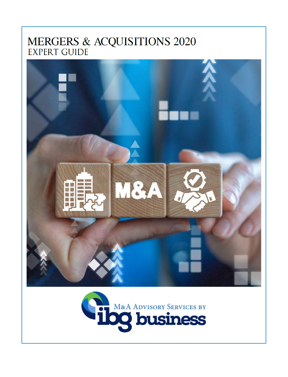# MERGERS & ACQUISITIONS 2020 **EXPERT GUIDE**



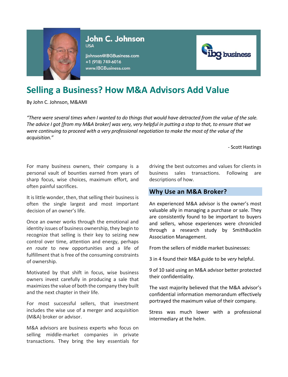

John C. Johnson **USA** 

jjohnson@IBGBusiness.com +1 (918) 749-6016 www.IBGBusiness.com



## **Selling a Business? How M&A Advisors Add Value**

By John C. Johnson, M&AMI

*"There were several times when I wanted to do things that would have detracted from the value of the sale. The advice I got [from my M&A broker] was very, very helpful in putting a stop to that, to ensure that we were continuing to proceed with a very professional negotiation to make the most of the value of the acquisition."*

- Scott Hastings

For many business owners, their company is a personal vault of bounties earned from years of sharp focus, wise choices, maximum effort, and often painful sacrifices.

It is little wonder, then, that selling their business is often the single largest and most important decision of an owner's life.

Once an owner works through the emotional and identity issues of business ownership, they begin to recognize that selling is their key to seizing new control over time, attention and energy, perhaps *en route* to new opportunities and a life of fulfillment that is free of the consuming constraints of ownership.

Motivated by that shift in focus, wise business owners invest carefully in producing a sale that maximizes the value of both the company they built and the next chapter in their life.

For most successful sellers, that investment includes the wise use of a merger and acquisition (M&A) broker or advisor.

M&A advisors are business experts who focus on selling middle-market companies in private transactions. They bring the key essentials for

driving the best outcomes and values for clients in business sales transactions. Following are descriptions of how.

## **Why Use an M&A Broker?**

An experienced M&A advisor is the owner's most valuable ally in managing a purchase or sale. They are consistently found to be important to buyers and sellers, whose experiences were chronicled through a research study by SmithBucklin Association Management.

From the sellers of middle market businesses:

3 in 4 found their M&A guide to be *very* helpful.

9 of 10 said using an M&A advisor better protected their confidentiality.

The vast majority believed that the M&A advisor's confidential information memorandum effectively portrayed the maximum value of their company.

Stress was much lower with a professional intermediary at the helm.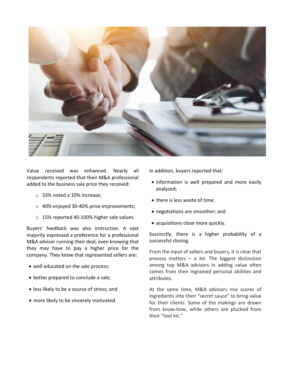

Value received was enhanced. Nearly all respondents reported that their M&A professional added to the business sale price they received:

- o 33% noted a 10% increase;
- o 40% enjoyed 30-40% price improvements;
- o 15% reported 40-100% higher sale values.

Buyers' feedback was also instructive. A vast majority expressed a preference for a professional M&A advisor running their deal, even knowing that they may have to pay a higher price for the company. They know that represented sellers are:

- well educated on the sale process;
- better prepared to conclude a sale;
- less likely to be a source of stress; and
- more likely to be sincerely motivated.

In addition, buyers reported that:

- information is well prepared and more easily analyzed;
- there is less waste of time;
- negotiations are smoother; and
- acquisitions close more quickly.

Succinctly, there is a higher probability of a successful closing.

From the input of sellers and buyers, it is clear that process matters – *a lot.* The biggest distinction among top M&A advisors in adding value often comes from their ingrained personal abilities and attributes.

At the same time, M&A advisors mix scores of ingredients into their "secret sauce" to bring value for their clients. Some of the makings are drawn from know-how, while others are plucked from their "tool kit."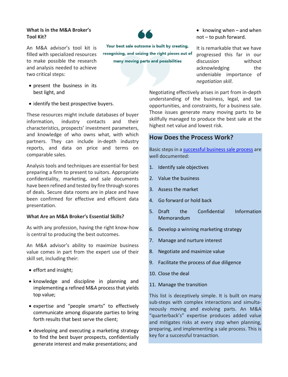#### **What Is in the M&A Broker's Tool Kit?**

An M&A advisor's tool kit is filled with specialized resources to make possible the research and analysis needed to achieve two critical steps:



Your best sale outcome is built by creating, recognising, and seizing the right pieces out of many moving parts and possibilities

• knowing when – and when not – to push forward.

It is remarkable that we have progressed this far in our discussion without acknowledging the undeniable importance of *negotiation skill*.

Negotiating effectively arises in part from in-depth understanding of the business, legal, and tax opportunities, and constraints, for a business sale. Those issues generate many moving parts to be skillfully managed to produce the best sale at the highest net value and lowest risk.

## **How Does the Process Work?**

Basic steps in [a successful business sale process](https://ibgbusiness.com/services/selling-a-business/the-process/) are well documented:

- 1. Identify sale objectives
- 2. Value the business
- 3. Assess the market
- 4. Go forward or hold back
- 5. Draft the Confidential Information Memorandum
- 6. Develop a winning marketing strategy
- 7. Manage and nurture interest
- 8. Negotiate and maximize value
- 9. Facilitate the process of due diligence
- 10. Close the deal
- 11. Manage the transition

This list is deceptively simple. It is built on many sub-steps with complex interactions and simultaneously moving and evolving parts. An M&A "quarterback's" expertise produces added value and mitigates risks at every step when planning, preparing, and implementing a sale process. This is key for a successful transaction.

• present the business in its best light, and

• identify the best prospective buyers.

These resources might include databases of buyer information, industry contacts and their characteristics, prospects' investment parameters, and knowledge of who owns what, with which partners. They can include in-depth industry reports, and data on price and terms on comparable sales.

Analysis tools and techniques are essential for best preparing a firm to present to suitors. Appropriate confidentiality, marketing, and sale documents have been refined and tested by fire through scores of deals. Secure data rooms are in place and have been confirmed for effective and efficient data presentation.

## **What Are an M&A Broker's Essential Skills?**

As with any profession, having the right know-how is central to producing the best outcomes.

An M&A advisor's ability to maximize business value comes in part from the expert use of their skill set, including their:

- effort and insight;
- knowledge and discipline in planning and implementing a refined M&A process that yields top value;
- expertise and "people smarts" to effectively communicate among disparate parties to bring forth results that best serve the client;
- developing and executing a marketing strategy to find the best buyer prospects, confidentially generate interest and make presentations; and